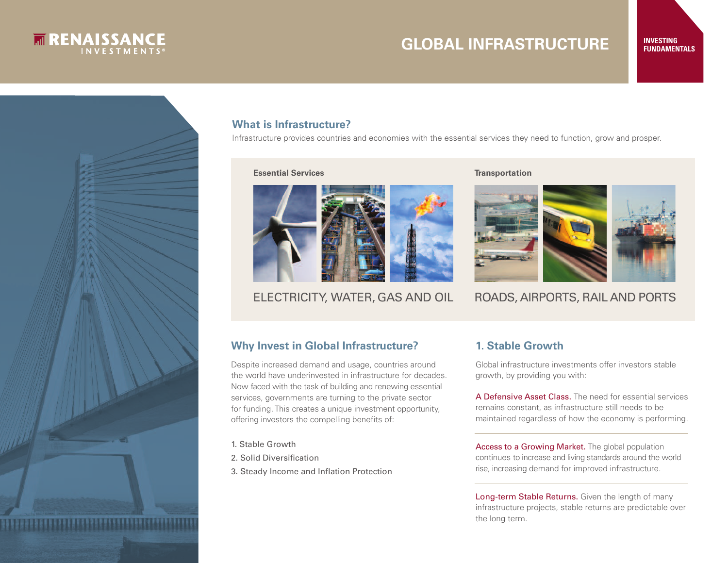

## **INVESTING GLOBAL INFRASTRUCTURE FUNDAMENTALS**



#### **What is Infrastructure?**

Infrastructure provides countries and economies with the essential services they need to function, grow and prosper.

**Essential Services Transportation** 





### ELECTRICITY, WATER, GAS AND OIL ROADS, AIRPORTS, RAIL AND PORTS

#### **Why Invest in Global Infrastructure?**

Despite increased demand and usage, countries around the world have underinvested in infrastructure for decades. Now faced with the task of building and renewing essential services, governments are turning to the private sector for funding. This creates a unique investment opportunity, offering investors the compelling benefits of:

- 1. Stable Growth
- 2. Solid Diversification
- 3. Steady Income and Inflation Protection

#### **1. Stable Growth**

Global infrastructure investments offer investors stable growth, by providing you with:

A Defensive Asset Class. The need for essential services remains constant, as infrastructure still needs to be maintained regardless of how the economy is performing.

Access to a Growing Market. The global population continues to increase and living standards around the world rise, increasing demand for improved infrastructure.

Long-term Stable Returns. Given the length of many infrastructure projects, stable returns are predictable over the long term.